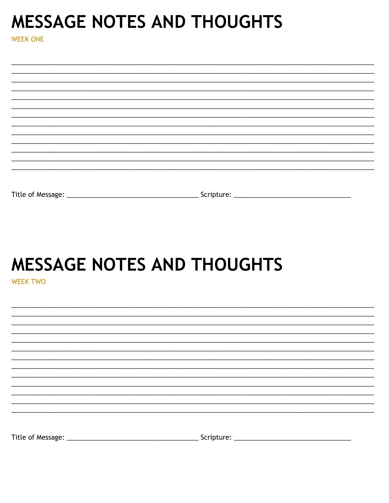### **MESSAGE NOTES AND THOUGHTS**

**WEEK ONE** 

| Title of Message: | Scripture: |
|-------------------|------------|

# **MESSAGE NOTES AND THOUGHTS**

**WEEK TWO**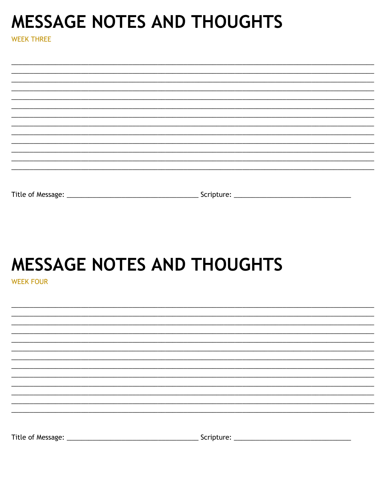### **MESSAGE NOTES AND THOUGHTS**

**WEEK THREE** 

# **MESSAGE NOTES AND THOUGHTS**

**WEEK FOUR** 

| Title of Message: | Scripture: |  |
|-------------------|------------|--|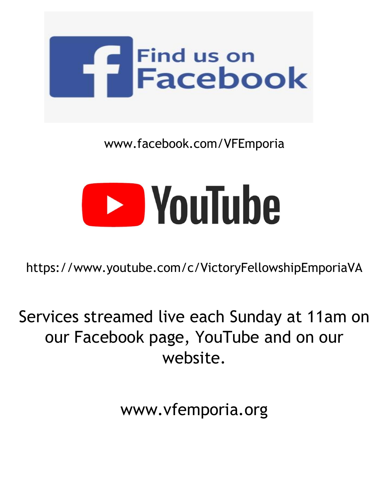

### www.facebook.com/VFEmporia



https://www.youtube.com/c/VictoryFellowshipEmporiaVA

Services streamed live each Sunday at 11am on our Facebook page, YouTube and on our website.

www.vfemporia.org